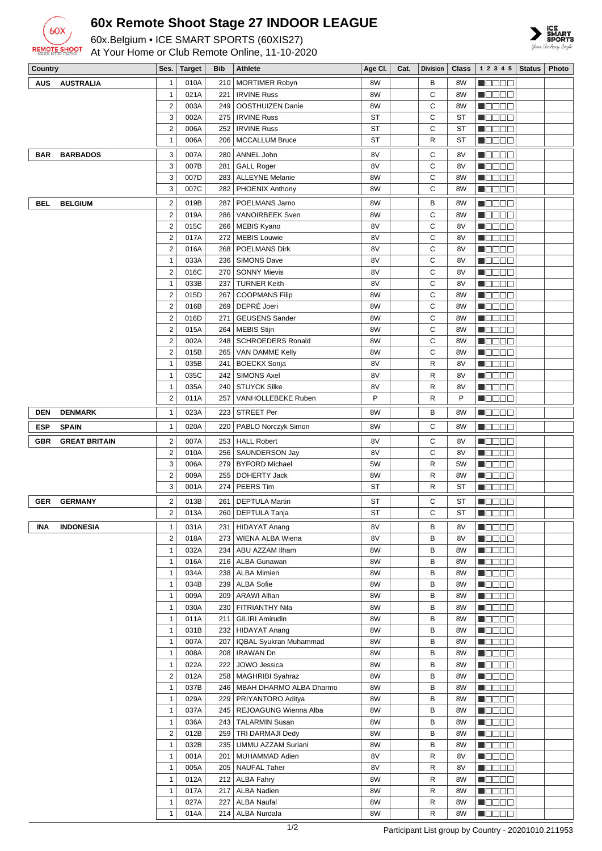

## **60x Remote Shoot Stage 27 INDOOR LEAGUE**

60x.Belgium • ICE SMART SPORTS (60XIS27)



At Your Home or Club Remote Online, 11-10-2020

| Country    |                      | Ses.                           | <b>Target</b> | Bib | <b>Athlete</b>                                  | Age CI.   | Cat. | <b>Division</b> | Class     | 1 2 3 4 5                                                   | <b>Status</b> | Photo |
|------------|----------------------|--------------------------------|---------------|-----|-------------------------------------------------|-----------|------|-----------------|-----------|-------------------------------------------------------------|---------------|-------|
| <b>AUS</b> | <b>AUSTRALIA</b>     | $\mathbf{1}$                   | 010A          | 210 | <b>MORTIMER Robyn</b>                           | 8W        |      | В               | 8W        | N 88 86                                                     |               |       |
|            |                      | $\mathbf{1}$                   | 021A          | 221 | <b>IRVINE Russ</b>                              | 8W        |      | C               | 8W        | n da a a                                                    |               |       |
|            |                      | $\overline{\mathbf{c}}$        | 003A          | 249 | OOSTHUIZEN Danie                                | 8W        |      | C               | 8W        | N D D D D                                                   |               |       |
|            |                      | 3                              | 002A          | 275 | <b>IRVINE Russ</b>                              | <b>ST</b> |      | C               | ST        | N SE SE                                                     |               |       |
|            |                      | $\overline{2}$                 | 006A          | 252 | <b>IRVINE Russ</b>                              | ST        |      | C               | <b>ST</b> | $\blacksquare$                                              |               |       |
|            |                      | 1                              | 006A          | 206 | <b>MCCALLUM Bruce</b>                           | ST        |      | R               | ST        | HOOOO                                                       |               |       |
| BAR        | <b>BARBADOS</b>      | 3                              | 007A          | 280 | ANNEL John                                      | 8V        |      | С               | 8V        | Maaaa                                                       |               |       |
|            |                      | 3                              | 007B          | 281 | <b>GALL Roger</b>                               | 8V        |      | C               | 8V        | N OO OO                                                     |               |       |
|            |                      | 3                              | 007D          | 283 | <b>ALLEYNE Melanie</b>                          | 8W        |      | С               | 8W        | $\blacksquare$ $\square$ $\square$ $\square$                |               |       |
|            |                      | 3                              | 007C          | 282 | PHOENIX Anthony                                 | 8W        |      | C               | 8W        | <u>Lisaas</u>                                               |               |       |
| <b>BEL</b> | <b>BELGIUM</b>       | $\overline{\mathbf{c}}$        | 019B          | 287 | POELMANS Jarno                                  | 8W        |      | B               | 8W        | <b>MODOO</b>                                                |               |       |
|            |                      | $\overline{\mathbf{c}}$        | 019A          | 286 | VANOIRBEEK Sven                                 | 8W        |      | C               | 8W        | N DE ER                                                     |               |       |
|            |                      | $\overline{2}$                 | 015C          | 266 | <b>MEBIS Kyano</b>                              | 8V        |      | С               | 8V        | $\blacksquare$                                              |               |       |
|            |                      | $\overline{2}$                 | 017A          | 272 | <b>MEBIS Louwie</b>                             | 8V        |      | С               | 8V        | N O O O O                                                   |               |       |
|            |                      | $\overline{c}$<br>$\mathbf{1}$ | 016A<br>033A  | 268 | <b>POELMANS Dirk</b><br>236   SIMONS Dave       | 8V<br>8V  |      | C<br>C          | 8V<br>8V  | N DE BE<br>n de eo                                          |               |       |
|            |                      | $\overline{c}$                 | 016C          |     | 270 SONNY Mievis                                | 8V        |      | C               | 8V        | HOOOO                                                       |               |       |
|            |                      | 1                              | 033B          | 237 | <b>TURNER Keith</b>                             | 8V        |      | C               | 8V        | MOODE                                                       |               |       |
|            |                      | $\overline{2}$                 | 015D          | 267 | <b>COOPMANS Filip</b>                           | 8W        |      | C               | 8W        | N DE BE                                                     |               |       |
|            |                      | $\overline{c}$                 | 016B          |     | 269   DEPRÉ Joeri                               | 8W        |      | C               | 8W        | N DE BE                                                     |               |       |
|            |                      | $\overline{c}$                 | 016D          | 271 | <b>GEUSENS Sander</b>                           | 8W        |      | C               | 8W        | $\blacksquare$ $\square$ $\square$ $\square$                |               |       |
|            |                      | $\overline{c}$                 | 015A          | 264 | <b>MEBIS Stijn</b>                              | 8W        |      | С               | 8W        | MOODE                                                       |               |       |
|            |                      | $\overline{2}$                 | 002A          | 248 | <b>SCHROEDERS Ronald</b>                        | 8W        |      | C               | 8W        | N DE BE                                                     |               |       |
|            |                      | $\overline{c}$                 | 015B          |     | 265   VAN DAMME Kelly                           | 8W        |      | C               | 8W        | ME E E E                                                    |               |       |
|            |                      | 1                              | 035B          | 241 | <b>BOECKX Sonja</b>                             | 8V        |      | R               | 8V        | $\blacksquare$                                              |               |       |
|            |                      | 1                              | 035C          | 242 | <b>SIMONS Axel</b>                              | 8V        |      | R               | 8V        | NOOOO                                                       |               |       |
|            |                      | 1                              | 035A          |     | 240   STUYCK Silke                              | 8V        |      | R               | 8V        | N DE E E                                                    |               |       |
|            |                      | $\overline{2}$                 | 011A          | 257 | VANHOLLEBEKE Ruben                              | P         |      | R               | P         | <b>M</b> OOOO                                               |               |       |
| <b>DEN</b> | <b>DENMARK</b>       | 1                              | 023A          | 223 | <b>STREET Per</b>                               | 8W        |      | В               | 8W        | N O D O O                                                   |               |       |
| <b>ESP</b> | <b>SPAIN</b>         | 1                              | 020A          | 220 | PABLO Norczyk Simon                             | 8W        |      | C               | 8W        | MODE D                                                      |               |       |
| <b>GBR</b> | <b>GREAT BRITAIN</b> | $\overline{\mathbf{c}}$        | 007A          | 253 | <b>HALL Robert</b>                              | 8V        |      | С               | 8V        | n 880a                                                      |               |       |
|            |                      | $\overline{c}$                 | 010A          | 256 | SAUNDERSON Jay                                  | 8V        |      | C               | 8V        | N O D O O                                                   |               |       |
|            |                      | 3                              | 006A          | 279 | <b>BYFORD Michael</b>                           | 5W        |      | R               | 5W        | N DE BE                                                     |               |       |
|            |                      | $\overline{2}$                 | 009A          | 255 | DOHERTY Jack                                    | 8W        |      | R               | 8W        | M O O O O                                                   |               |       |
|            |                      | 3                              | 001A          | 274 | PEERS Tim                                       | ST        |      | R               | ST        | $\blacksquare$                                              |               |       |
| <b>GER</b> | <b>GERMANY</b>       | $\overline{2}$                 | 013B          | 261 | <b>DEPTULA Martin</b>                           | ST        |      | С               | ST        | n de de                                                     |               |       |
|            |                      | $\overline{\mathbf{c}}$        | 013A          |     | 260   DEPTULA Tanja                             | <b>ST</b> |      | С               | ST        | $\blacksquare$<br>$\blacksquare$                            |               |       |
| <b>INA</b> | <b>INDONESIA</b>     | $\mathbf{1}$                   | 031A          |     | 231   HIDAYAT Anang                             | 8V        |      | в               | 8V        | 80000                                                       |               |       |
|            |                      | $\overline{c}$                 | 018A          |     | 273   WIENA ALBA Wiena                          | 8V        |      | B               | 8V        | $\blacksquare$ $\blacksquare$ $\blacksquare$ $\blacksquare$ |               |       |
|            |                      | $\mathbf{1}$                   | 032A          |     | 234   ABU AZZAM Ilham                           | 8W        |      | В               | 8W        | <b>NODOO</b>                                                |               |       |
|            |                      | 1                              | 016A          |     | 216   ALBA Gunawan                              | 8W        |      | В               | 8W        | MODO O                                                      |               |       |
|            |                      | 1                              | 034A          |     | 238   ALBA Mimien                               | 8W        |      | B               | 8W        | <b>NOBEC</b>                                                |               |       |
|            |                      | 1                              | 034B          |     | 239 ALBA Sofie                                  | 8W        |      | В               | 8W        | <b>NODOO</b>                                                |               |       |
|            |                      | 1                              | 009A          |     | 209   ARAWI Alfian                              | 8W        |      | B               | 8W        | <b>NODOO</b>                                                |               |       |
|            |                      | 1                              | 030A          |     | 230   FITRIANTHY Nila                           | 8W        |      | B               | 8W        | <u>Lindar</u>                                               |               |       |
|            |                      | 1                              | 011A          |     | 211   GILIRI Amirudin                           | 8W        |      | B               | 8W        | 8000 C                                                      |               |       |
|            |                      | 1                              | 031B          |     | 232   HIDAYAT Anang                             | 8W        |      | В               | 8W        | <b>NODOO</b>                                                |               |       |
|            |                      | 1<br>1                         | 007A<br>008A  |     | 207   IQBAL Syukran Muhammad<br>208   IRAWAN Dn | 8W<br>8W  |      | В<br>В          | 8W<br>8W  | N BE E B<br><b>NOBOD</b>                                    |               |       |
|            |                      | 1                              | 022A          |     | 222 JOWO Jessica                                | 8W        |      | В               | 8W        | MOODE                                                       |               |       |
|            |                      | $\overline{c}$                 | 012A          |     | 258   MAGHRIBI Syahraz                          | 8W        |      | B               | 8W        | <b>NODDD</b>                                                |               |       |
|            |                      | 1                              | 037B          |     | 246   MBAH DHARMO ALBA Dharmo                   | 8W        |      | B               | 8W        | <b>NODOO</b>                                                |               |       |
|            |                      | $\mathbf{1}$                   | 029A          |     | 229   PRIYANTORO Aditya                         | 8W        |      | B               | 8W        | <b>NODOO</b>                                                |               |       |
|            |                      | 1                              | 037A          |     | 245   REJOAGUNG Wienna Alba                     | 8W        |      | В               | 8W        | 8000 C                                                      |               |       |
|            |                      | 1                              | 036A          |     | 243   TALARMIN Susan                            | 8W        |      | B               | 8W        | MOOO O                                                      |               |       |
|            |                      | $\overline{2}$                 | 012B          |     | 259   TRI DARMAJI Dedy                          | 8W        |      | В               | 8W        | <b>NODOO</b>                                                |               |       |
|            |                      | 1                              | 032B          |     | 235   UMMU AZZAM Suriani                        | 8W        |      | В               | 8W        | <u>Lindar</u>                                               |               |       |
|            |                      | 1                              | 001A          |     | 201   MUHAMMAD Adien                            | 8V        |      | R               | 8V        | MOODE                                                       |               |       |
|            |                      | 1                              | 005A          |     | 205   NAUFAL Taher                              | 8V        |      | R               | 8V        | MOOO O                                                      |               |       |
|            |                      | 1                              | 012A          |     | 212 ALBA Fahry                                  | 8W        |      | R               | 8W        | <b>NODDD</b>                                                |               |       |
|            |                      | $\mathbf{1}$                   | 017A          |     | 217   ALBA Nadien                               | 8W        |      | R               | 8W        | 80000                                                       |               |       |
|            |                      | 1<br>$\mathbf{1}$              | 027A<br>014A  |     | 227   ALBA Naufal<br>214 ALBA Nurdafa           | 8W        |      | R<br>R          | 8W        | HOOOO<br>N O O O O                                          |               |       |
|            |                      |                                |               |     |                                                 | 8W        |      |                 | 8W        |                                                             |               |       |